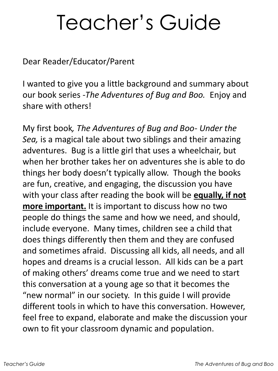## Teacher's Guide

Dear Reader/Educator/Parent

I wanted to give you a little background and summary about our book series -*The Adventures of Bug and Boo.* Enjoy and share with others!

My first book*, The Adventures of Bug and Boo- Under the Sea,* is a magical tale about two siblings and their amazing adventures. Bug is a little girl that uses a wheelchair, but when her brother takes her on adventures she is able to do things her body doesn't typically allow. Though the books are fun, creative, and engaging, the discussion you have with your class after reading the book will be **equally, if not more important.** It is important to discuss how no two people do things the same and how we need, and should, include everyone. Many times, children see a child that does things differently then them and they are confused and sometimes afraid. Discussing all kids, all needs, and all hopes and dreams is a crucial lesson. All kids can be a part of making others' dreams come true and we need to start this conversation at a young age so that it becomes the "new normal" in our society. In this guide I will provide different tools in which to have this conversation. However, feel free to expand, elaborate and make the discussion your own to fit your classroom dynamic and population.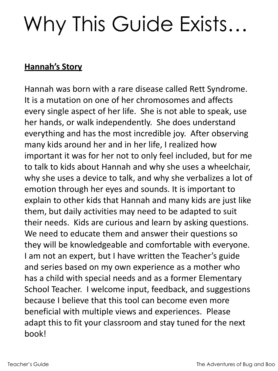# Why This Guide Exists…

#### **Hannah's Story**

Hannah was born with a rare disease called Rett Syndrome. It is a mutation on one of her chromosomes and affects every single aspect of her life. She is not able to speak, use her hands, or walk independently. She does understand everything and has the most incredible joy. After observing many kids around her and in her life, I realized how important it was for her not to only feel included, but for me to talk to kids about Hannah and why she uses a wheelchair, why she uses a device to talk, and why she verbalizes a lot of emotion through her eyes and sounds. It is important to explain to other kids that Hannah and many kids are just like them, but daily activities may need to be adapted to suit their needs. Kids are curious and learn by asking questions. We need to educate them and answer their questions so they will be knowledgeable and comfortable with everyone. I am not an expert, but I have written the Teacher's guide and series based on my own experience as a mother who has a child with special needs and as a former Elementary School Teacher. I welcome input, feedback, and suggestions because I believe that this tool can become even more beneficial with multiple views and experiences. Please adapt this to fit your classroom and stay tuned for the next hook!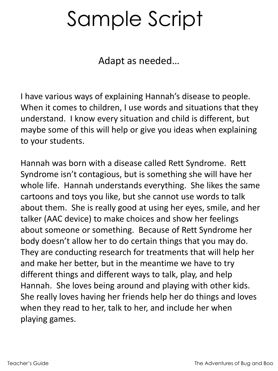## Sample Script

Adapt as needed…

I have various ways of explaining Hannah's disease to people. When it comes to children, I use words and situations that they understand. I know every situation and child is different, but maybe some of this will help or give you ideas when explaining to your students.

Hannah was born with a disease called Rett Syndrome. Rett Syndrome isn't contagious, but is something she will have her whole life. Hannah understands everything. She likes the same cartoons and toys you like, but she cannot use words to talk about them. She is really good at using her eyes, smile, and her talker (AAC device) to make choices and show her feelings about someone or something. Because of Rett Syndrome her body doesn't allow her to do certain things that you may do. They are conducting research for treatments that will help her and make her better, but in the meantime we have to try different things and different ways to talk, play, and help Hannah. She loves being around and playing with other kids. She really loves having her friends help her do things and loves when they read to her, talk to her, and include her when playing games.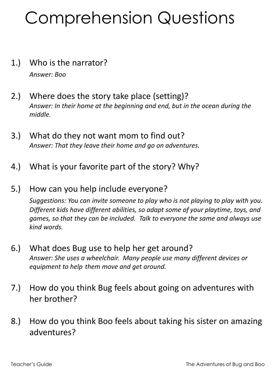## Comprehension Questions

- 1.) Who is the narrator? *Answer: Boo*
- 2.) Where does the story take place (setting)? *Answer: In their home at the beginning and end, but in the ocean during the middle.*
- 3.) What do they not want mom to find out? *Answer: That they leave their home and go on adventures.*
- 4.) What is your favorite part of the story? Why?
- 5.) How can you help include everyone?

*Suggestions: You can invite someone to play who is not playing to play with you. Different kids have different abilities, so adapt some of your playtime, toys, and games, so that they can be included. Talk to everyone the same and always use kind words.*

- 6.) What does Bug use to help her get around? *Answer: She uses a wheelchair. Many people use many different devices or equipment to help them move and get around.*
- 7.) How do you think Bug feels about going on adventures with her brother?
- 8.) How do you think Boo feels about taking his sister on amazing adventures?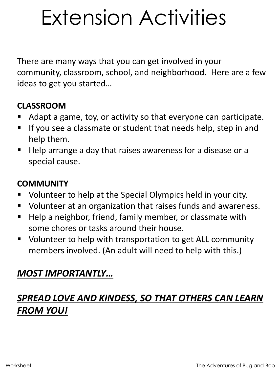# Extension Activities

There are many ways that you can get involved in your community, classroom, school, and neighborhood. Here are a few ideas to get you started…

#### **CLASSROOM**

- Adapt a game, toy, or activity so that everyone can participate.
- If you see a classmate or student that needs help, step in and help them.
- Help arrange a day that raises awareness for a disease or a special cause.

#### **COMMUNITY**

- Volunteer to help at the Special Olympics held in your city.
- Volunteer at an organization that raises funds and awareness.
- Help a neighbor, friend, family member, or classmate with some chores or tasks around their house.
- Volunteer to help with transportation to get ALL community members involved. (An adult will need to help with this.)

#### *MOST IMPORTANTLY…*

#### *SPREAD LOVE AND KINDESS, SO THAT OTHERS CAN LEARN FROM YOU!*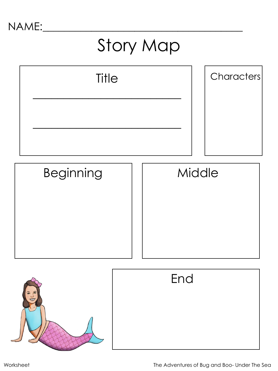## Story Map

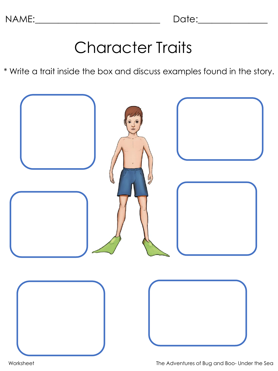### Character Traits

\* Write a trait inside the box and discuss examples found in the story.

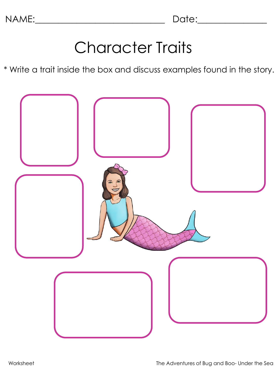### Character Traits

\* Write a trait inside the box and discuss examples found in the story.

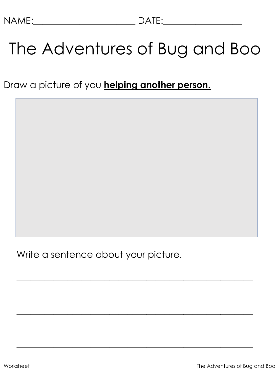## The Adventures of Bug and Boo

Draw a picture of you **helping another person.**

Write a sentence about your picture.

\_\_\_\_\_\_\_\_\_\_\_\_\_\_\_\_\_\_\_\_\_\_\_\_\_\_\_\_\_\_\_\_\_\_\_\_\_\_\_\_\_\_\_\_\_\_\_\_\_\_\_

\_\_\_\_\_\_\_\_\_\_\_\_\_\_\_\_\_\_\_\_\_\_\_\_\_\_\_\_\_\_\_\_\_\_\_\_\_\_\_\_\_\_\_\_\_\_\_\_\_\_\_

\_\_\_\_\_\_\_\_\_\_\_\_\_\_\_\_\_\_\_\_\_\_\_\_\_\_\_\_\_\_\_\_\_\_\_\_\_\_\_\_\_\_\_\_\_\_\_\_\_\_\_